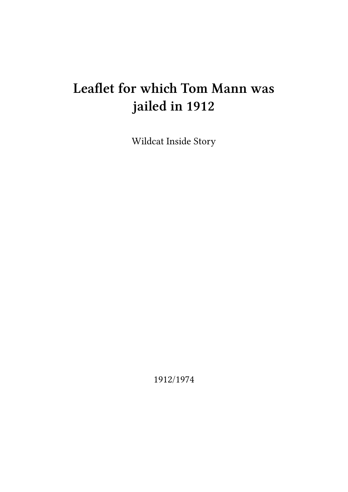## **Leaflet for which Tom Mann was jailed in 1912**

Wildcat Inside Story

1912/1974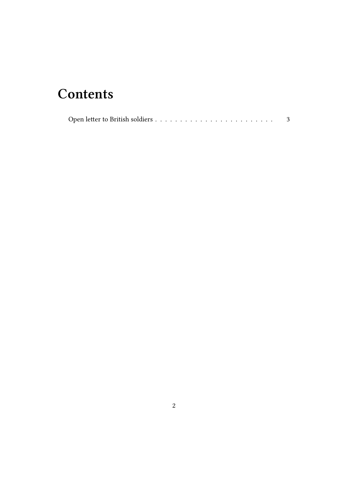## **Contents**

|--|--|--|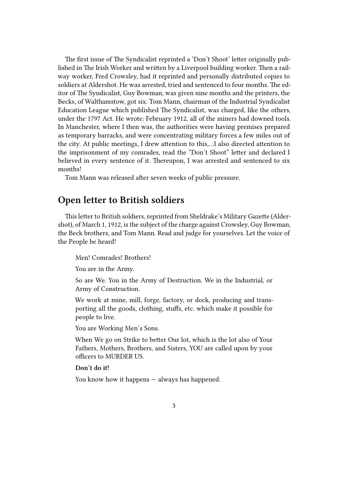The first issue of The Syndicalist reprinted a 'Don't Shoot' letter originally published in The Irish Worker and written by a Liverpool building worker. Then a railway worker, Fred Crowsley, had it reprinted and personally distributed copies to soldiers at Aldershot. He was arrested, tried and sentenced to four months. The editor of The Syndicalist, Guy Bowman, was given nine months and the printers, the Becks, of Walthamstow, got six. Tom Mann, chairman of the Industrial Syndicalist Education League which published The Syndicalist, was charged, like the others, under the 1797 Act. He wrote: February 1912, all of the miners had downed tools. In Manchester, where I then was, the authorities were having premises prepared as temporary barracks, and were concentrating military forces a few miles out of the city. At public meetings, I drew attention to this,…I also directed attention to the imprisonment of my comrades, read the "Don't Shoot" letter and declared I believed in every sentence of it. Thereupon, I was arrested and sentenced to six months!

Tom Mann was released after seven weeks of public pressure.

## **Open letter to British soldiers**

This letter to British soldiers, reprinted from Sheldrake's Military Gazette (Aldershot), of March 1, 1912, is the subject of the charge against Crowsley, Guy Bowman, the Beck brothers, and Tom Mann. Read and judge for yourselves. Let the voice of the People be heard!

Men! Comrades! Brothers!

You are in the Army.

So are We. You in the Army of Destruction. We in the Industrial, or Army of Construction.

We work at mine, mill, forge, factory, or dock, producing and transporting all the goods, clothing, stuffs, etc. which make it possible for people to live.

You are Working Men's Sons.

When We go on Strike to better Our lot, which is the lot also of Your Fathers, Mothers, Brothers, and Sisters, YOU are called upon by your officers to MURDER US.

## **Don't do it!**

You know how it happens — always has happened.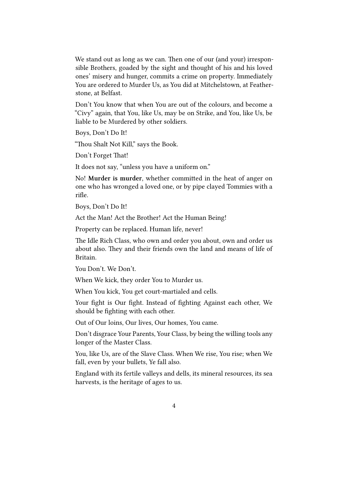We stand out as long as we can. Then one of our (and your) irresponsible Brothers, goaded by the sight and thought of his and his loved ones' misery and hunger, commits a crime on property. Immediately You are ordered to Murder Us, as You did at Mitchelstown, at Featherstone, at Belfast.

Don't You know that when You are out of the colours, and become a "Civy" again, that You, like Us, may be on Strike, and You, like Us, be liable to be Murdered by other soldiers.

Boys, Don't Do It!

"Thou Shalt Not Kill," says the Book.

Don't Forget That!

It does not say, "unless you have a uniform on."

No! **Murder is murder**, whether committed in the heat of anger on one who has wronged a loved one, or by pipe clayed Tommies with a rifle.

Boys, Don't Do It!

Act the Man! Act the Brother! Act the Human Being!

Property can be replaced. Human life, never!

The Idle Rich Class, who own and order you about, own and order us about also. They and their friends own the land and means of life of Britain.

You Don't. We Don't.

When We kick, they order You to Murder us.

When You kick, You get court-martialed and cells.

Your fight is Our fight. Instead of fighting Against each other, We should be fighting with each other.

Out of Our loins, Our lives, Our homes, You came.

Don't disgrace Your Parents, Your Class, by being the willing tools any longer of the Master Class.

You, like Us, are of the Slave Class. When We rise, You rise; when We fall, even by your bullets, Ye fall also.

England with its fertile valleys and dells, its mineral resources, its sea harvests, is the heritage of ages to us.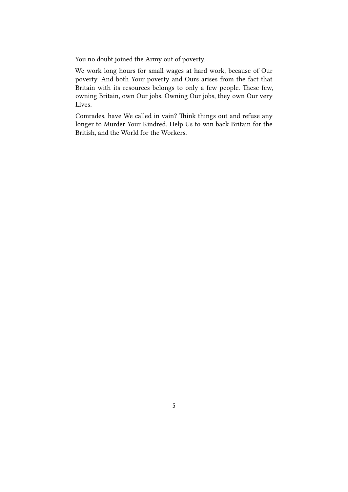You no doubt joined the Army out of poverty.

We work long hours for small wages at hard work, because of Our poverty. And both Your poverty and Ours arises from the fact that Britain with its resources belongs to only a few people. These few, owning Britain, own Our jobs. Owning Our jobs, they own Our very Lives.

Comrades, have We called in vain? Think things out and refuse any longer to Murder Your Kindred. Help Us to win back Britain for the British, and the World for the Workers.